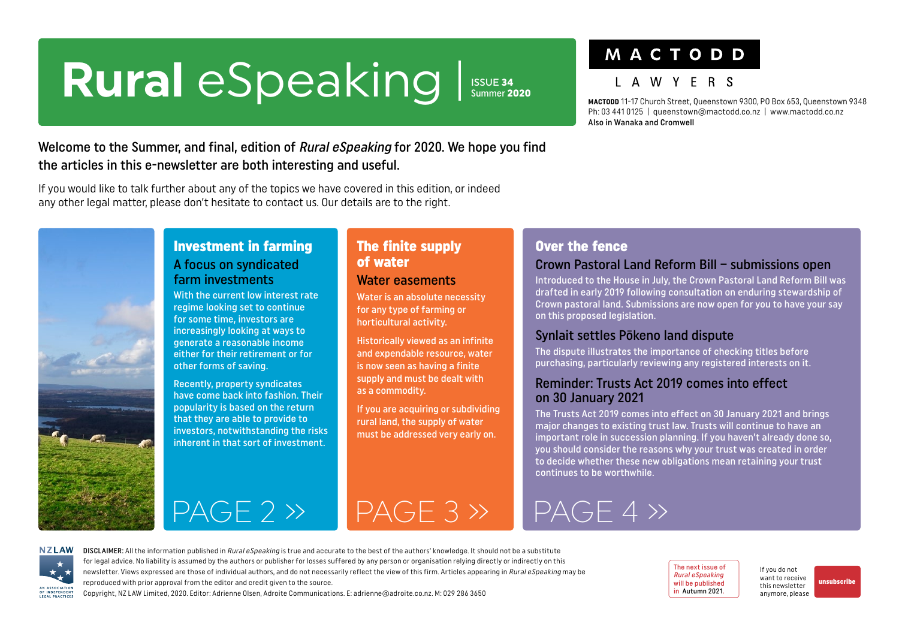# <span id="page-0-0"></span>Rural eSpeaking Issue 34

Summer 2020

## MACTODD

### I A W Y F R S

**MACTODD** 11-17 Church Street, Queenstown 9300, PO Box 653, Queenstown 9348 Ph: 03 441 0125 | queenstown@mactodd.co.nz | www.mactodd.co.nz Also in Wanaka and Cromwell

### Welcome to the Summer, and final, edition of Rural eSpeaking for 2020. We hope you find the articles in this e-newsletter are both interesting and useful.

If you would like to talk further about any of the topics we have covered in this edition, or indeed any other legal matter, please don't hesitate to contact us. Our details are to the right.



### Investment in farming A focus on syndicated farm investments

With the current low interest rate regime looking set to continue for some time, investors are increasingly looking at ways to generate a reasonable income either for their retirement or for other forms of saving.

Recently, property syndicates have come back into fashion. Their popularity is based on the return that they are able to provide to investors, notwithstanding the risks inherent in that sort of investment.

### The finite supply of water

### Water easements

Water is an absolute necessity for any type of farming or horticultural activity.

Historically viewed as an infinite and expendable resource, water is now seen as having a finite supply and must be dealt with as a commodity.

If you are acquiring or subdividing rural land, the supply of water must be addressed very early on.

### Over the fence

### Crown Pastoral Land Reform Bill – submissions open

Introduced to the House in July, the Crown Pastoral Land Reform Bill was drafted in early 2019 following consultation on enduring stewardship of Crown pastoral land. Submissions are now open for you to have your say on this proposed legislation.

### Synlait settles Pōkeno land dispute

The dispute illustrates the importance of checking titles before purchasing, particularly reviewing any registered interests on it.

### Reminder: Trusts Act 2019 comes into effect on 30 January 2021

The Trusts Act 2019 comes into effect on 30 January 2021 and brings major changes to existing trust law. Trusts will continue to have an important role in succession planning. If you haven't already done so, you should consider the reasons why your trust was created in order to decide whether these new obligations mean retaining your trust continues to be worthwhile.

 $PAGE 2 \rightarrow \neg PAGE 3 \rightarrow$ 

## [PAGE 4 »](#page-3-0)



DISCLAIMER: All the information published in Rural eSpeaking is true and accurate to the best of the authors' knowledge. It should not be a substitute for legal advice. No liability is assumed by the authors or publisher for losses suffered by any person or organisation relying directly or indirectly on this newsletter. Views expressed are those of individual authors, and do not necessarily reflect the view of this firm. Articles appearing in Rural eSpeaking may be reproduced with prior approval from the editor and credit given to the source.

Copyright, NZ LAW Limited, 2020. Editor: Adrienne Olsen, Adroite Communications. [E: adrienne@adroite.co.nz](mailto:adrienne@adroite.co.nz). M: 029 286 3650

The next issue of Rural eSpeaking will be published in Autumn 2021.

[If you do not](mailto:adrienne%40adroite.co.nz?subject=)  [want to receive](mailto:adrienne%40adroite.co.nz?subject=)  [this newsletter](mailto:adrienne%40adroite.co.nz?subject=)  [anymore, please](mailto:adrienne%40adroite.co.nz?subject=)

[unsubscribe](mailto:adrienne%40adroite.co.nz?subject=Please%20unsubscribe%20me%20from%20Rural%20eSpeaking)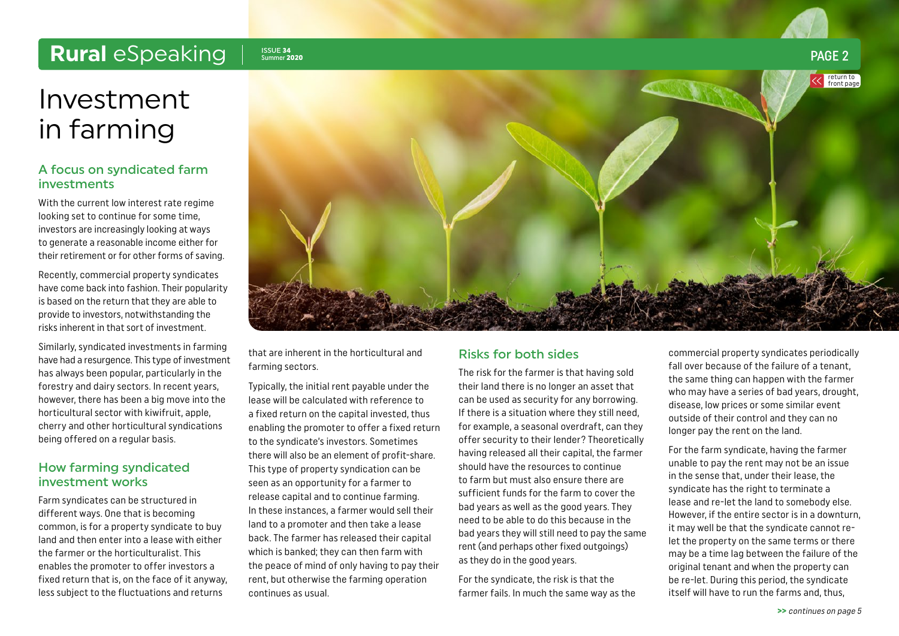### <span id="page-1-0"></span>Rural *eSpeaking* | SSUE 34

## Investment in farming

### A focus on syndicated farm investments

With the current low interest rate regime looking set to continue for some time, investors are increasingly looking at ways to generate a reasonable income either for their retirement or for other forms of saving.

Recently, commercial property syndicates have come back into fashion. Their popularity is based on the return that they are able to provide to investors, notwithstanding the risks inherent in that sort of investment.

Similarly, syndicated investments in farming have had a resurgence. This type of investment has always been popular, particularly in the forestry and dairy sectors. In recent years, however, there has been a big move into the horticultural sector with kiwifruit, apple, cherry and other horticultural syndications being offered on a regular basis.

### How farming syndicated investment works

Farm syndicates can be structured in different ways. One that is becoming common, is for a property syndicate to buy land and then enter into a lease with either the farmer or the horticulturalist. This enables the promoter to offer investors a fixed return that is, on the face of it anyway, less subject to the fluctuations and returns



that are inherent in the horticultural and farming sectors.

Typically, the initial rent payable under the lease will be calculated with reference to a fixed return on the capital invested, thus enabling the promoter to offer a fixed return to the syndicate's investors. Sometimes there will also be an element of profit-share. This type of property syndication can be seen as an opportunity for a farmer to release capital and to continue farming. In these instances, a farmer would sell their land to a promoter and then take a lease back. The farmer has released their capital which is banked; they can then farm with the peace of mind of only having to pay their rent, but otherwise the farming operation continues as usual.

### Risks for both sides

The risk for the farmer is that having sold their land there is no longer an asset that can be used as security for any borrowing. If there is a situation where they still need, for example, a seasonal overdraft, can they offer security to their lender? Theoretically having released all their capital, the farmer should have the resources to continue to farm but must also ensure there are sufficient funds for the farm to cover the bad years as well as the good years. They need to be able to do this because in the bad years they will still need to pay the same rent (and perhaps other fixed outgoings) as they do in the good years.

For the syndicate, the risk is that the farmer fails. In much the same way as the commercial property syndicates periodically fall over because of the failure of a tenant, the same thing can happen with the farmer who may have a series of bad years, drought, disease, low prices or some similar event outside of their control and they can no longer pay the rent on the land.

For the farm syndicate, having the farmer unable to pay the rent may not be an issue in the sense that, under their lease, the syndicate has the right to terminate a lease and re-let the land to somebody else. However, if the entire sector is in a downturn, it may well be that the syndicate cannot relet the property on the same terms or there may be a time lag between the failure of the original tenant and when the property can be re-let. During this period, the syndicate itself will have to run the farms and, thus,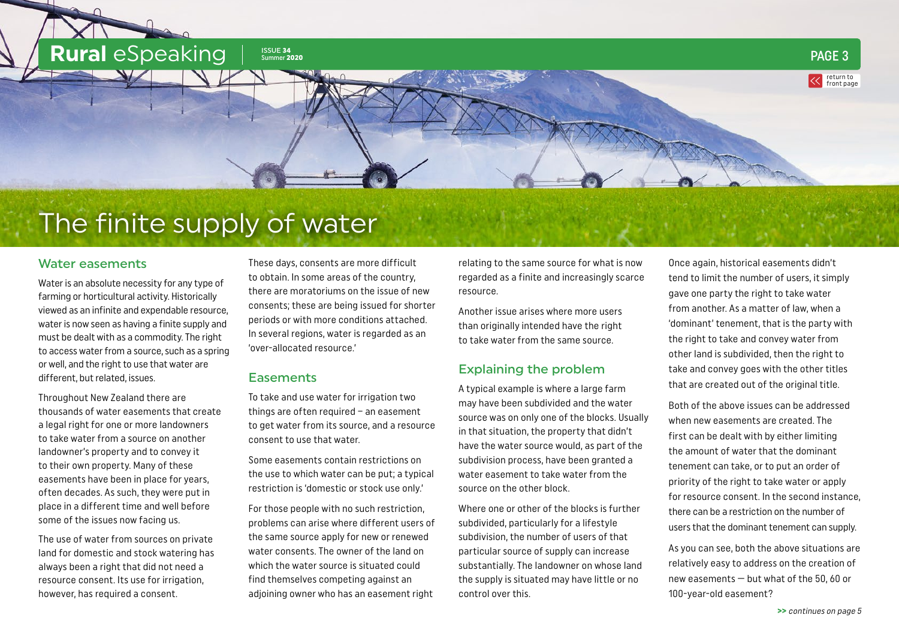<span id="page-2-0"></span>

## The finite supply of water

### Water easements

Water is an absolute necessity for any type of farming or horticultural activity. Historically viewed as an infinite and expendable resource, water is now seen as having a finite supply and must be dealt with as a commodity. The right to access water from a source, such as a spring or well, and the right to use that water are different, but related, issues.

Throughout New Zealand there are thousands of water easements that create a legal right for one or more landowners to take water from a source on another landowner's property and to convey it to their own property. Many of these easements have been in place for years, often decades. As such, they were put in place in a different time and well before some of the issues now facing us.

The use of water from sources on private land for domestic and stock watering has always been a right that did not need a resource consent. Its use for irrigation, however, has required a consent.

These days, consents are more difficult to obtain. In some areas of the country, there are moratoriums on the issue of new consents; these are being issued for shorter periods or with more conditions attached. In several regions, water is regarded as an 'over-allocated resource.'

### **Easements**

To take and use water for irrigation two things are often required – an easement to get water from its source, and a resource consent to use that water.

Some easements contain restrictions on the use to which water can be put; a typical restriction is 'domestic or stock use only.'

For those people with no such restriction, problems can arise where different users of the same source apply for new or renewed water consents. The owner of the land on which the water source is situated could find themselves competing against an adjoining owner who has an easement right

relating to the same source for what is now regarded as a finite and increasingly scarce resource.

Another issue arises where more users than originally intended have the right to take water from the same source.

### Explaining the problem

A typical example is where a large farm may have been subdivided and the water source was on only one of the blocks. Usually in that situation, the property that didn't have the water source would, as part of the subdivision process, have been granted a water easement to take water from the source on the other block.

Where one or other of the blocks is further subdivided, particularly for a lifestyle subdivision, the number of users of that particular source of supply can increase substantially. The landowner on whose land the supply is situated may have little or no control over this.

Once again, historical easements didn't tend to limit the number of users, it simply gave one party the right to take water from another. As a matter of law, when a 'dominant' tenement, that is the party with the right to take and convey water from other land is subdivided, then the right to take and convey goes with the other titles that are created out of the original title.

Both of the above issues can be addressed when new easements are created. The first can be dealt with by either limiting the amount of water that the dominant tenement can take, or to put an order of priority of the right to take water or apply for resource consent. In the second instance, there can be a restriction on the number of users that the dominant tenement can supply.

As you can see, both the above situations are relatively easy to address on the creation of new easements — but what of the 50, 60 or 100-year-old easement?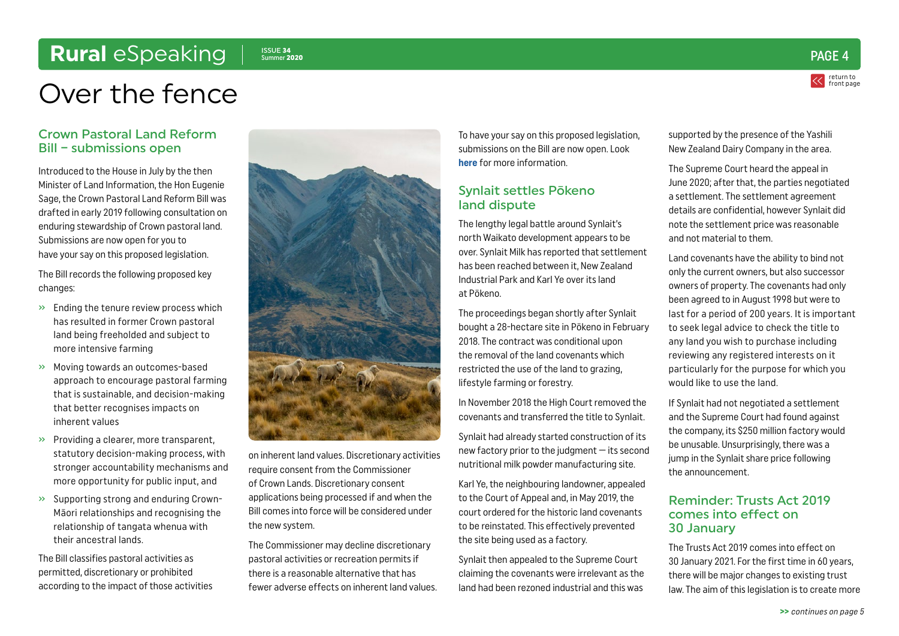## <span id="page-3-0"></span>Rural *eSpeaking* | SSUE 34

Summer <sup>2020</sup> PAGE 4

return to [front page](#page-0-0)

## Over the fence

### Crown Pastoral Land Reform Bill – submissions open

Introduced to the House in July by the then Minister of Land Information, the Hon Eugenie Sage, the Crown Pastoral Land Reform Bill was drafted in early 2019 following consultation on enduring stewardship of Crown pastoral land. Submissions are now open for you to have your say on this proposed legislation.

The Bill records the following proposed key changes:

- » Ending the tenure review process which has resulted in former Crown pastoral land being freeholded and subject to more intensive farming
- » Moving towards an outcomes-based approach to encourage pastoral farming that is sustainable, and decision-making that better recognises impacts on inherent values
- » Providing a clearer, more transparent, statutory decision-making process, with stronger accountability mechanisms and more opportunity for public input, and
- » Supporting strong and enduring Crown-Māori relationships and recognising the relationship of tangata whenua with their ancestral lands.

The Bill classifies pastoral activities as permitted, discretionary or prohibited according to the impact of those activities



on inherent land values. Discretionary activities require consent from the Commissioner of Crown Lands. Discretionary consent applications being processed if and when the Bill comes into force will be considered under the new system.

The Commissioner may decline discretionary pastoral activities or recreation permits if there is a reasonable alternative that has fewer adverse effects on inherent land values.

To have your say on this proposed legislation, submissions on the Bill are now open. Look **[here](https://www.parliament.nz/en/pb/sc/make-a-submission/document/53SCEN_SCF_BILL_99486/crown-pastoral-land-reform-bill)** for more information.

### Synlait settles Pōkeno land dispute

The lengthy legal battle around Synlait's north Waikato development appears to be over. Synlait Milk has reported that settlement has been reached between it, New Zealand Industrial Park and Karl Ye over its land at Pōkeno.

The proceedings began shortly after Synlait bought a 28-hectare site in Pōkeno in February 2018. The contract was conditional upon the removal of the land covenants which restricted the use of the land to grazing, lifestyle farming or forestry.

In November 2018 the High Court removed the covenants and transferred the title to Synlait.

Synlait had already started construction of its new factory prior to the judgment — its second nutritional milk powder manufacturing site.

Karl Ye, the neighbouring landowner, appealed to the Court of Appeal and, in May 2019, the court ordered for the historic land covenants to be reinstated. This effectively prevented the site being used as a factory.

Synlait then appealed to the Supreme Court claiming the covenants were irrelevant as the land had been rezoned industrial and this was

supported by the presence of the Yashili New Zealand Dairy Company in the area.

The Supreme Court heard the appeal in June 2020; after that, the parties negotiated a settlement. The settlement agreement details are confidential, however Synlait did note the settlement price was reasonable and not material to them.

Land covenants have the ability to bind not only the current owners, but also successor owners of property. The covenants had only been agreed to in August 1998 but were to last for a period of 200 years. It is important to seek legal advice to check the title to any land you wish to purchase including reviewing any registered interests on it particularly for the purpose for which you would like to use the land.

If Synlait had not negotiated a settlement and the Supreme Court had found against the company, its \$250 million factory would be unusable. Unsurprisingly, there was a jump in the Synlait share price following the announcement.

### Reminder: Trusts Act 2019 comes into effect on 30 January

The Trusts Act 2019 comes into effect on 30 January 2021. For the first time in 60 years, there will be major changes to existing trust law. The aim of this legislation is to create more